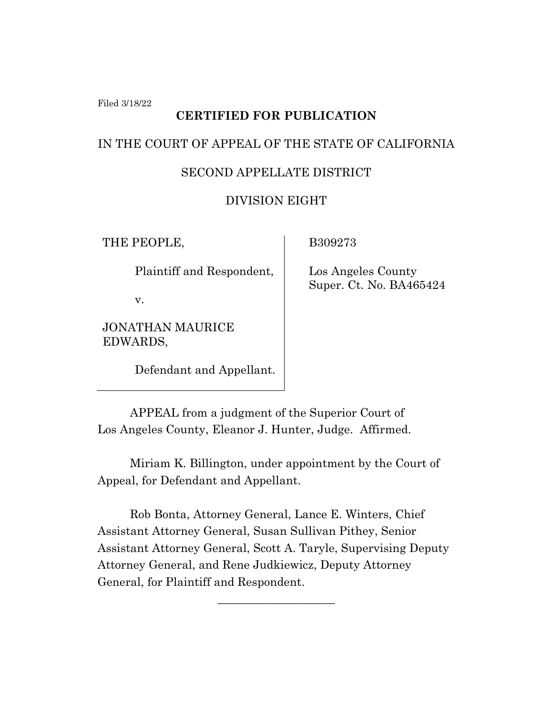Filed 3/18/22

# **CERTIFIED FOR PUBLICATION**

#### IN THE COURT OF APPEAL OF THE STATE OF CALIFORNIA

## SECOND APPELLATE DISTRICT

## DIVISION EIGHT

THE PEOPLE,

Plaintiff and Respondent,

v.

JONATHAN MAURICE EDWARDS,

Defendant and Appellant.

B309273

 Los Angeles County Super. Ct. No. BA465424

APPEAL from a judgment of the Superior Court of Los Angeles County, Eleanor J. Hunter, Judge. Affirmed.

Miriam K. Billington, under appointment by the Court of Appeal, for Defendant and Appellant.

Rob Bonta, Attorney General, Lance E. Winters, Chief Assistant Attorney General, Susan Sullivan Pithey, Senior Assistant Attorney General, Scott A. Taryle, Supervising Deputy Attorney General, and Rene Judkiewicz, Deputy Attorney General, for Plaintiff and Respondent.

\_\_\_\_\_\_\_\_\_\_\_\_\_\_\_\_\_\_\_\_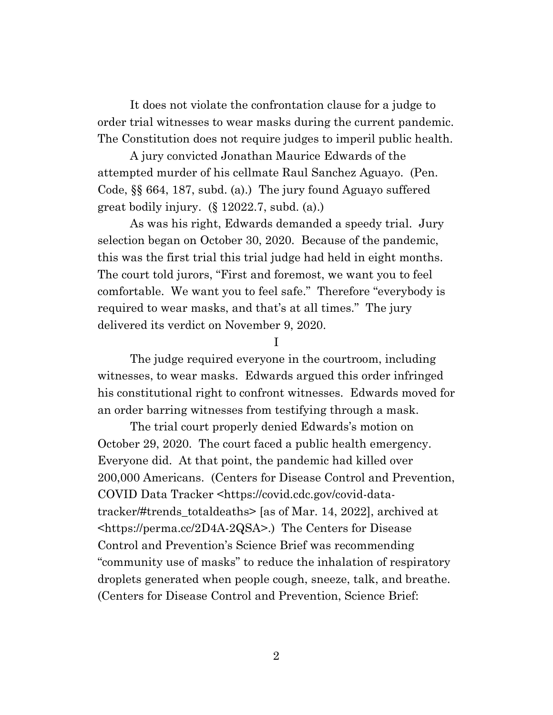It does not violate the confrontation clause for a judge to order trial witnesses to wear masks during the current pandemic. The Constitution does not require judges to imperil public health.

A jury convicted Jonathan Maurice Edwards of the attempted murder of his cellmate Raul Sanchez Aguayo. (Pen. Code, §§ 664, 187, subd. (a).) The jury found Aguayo suffered great bodily injury. (§ 12022.7, subd. (a).)

As was his right, Edwards demanded a speedy trial. Jury selection began on October 30, 2020. Because of the pandemic, this was the first trial this trial judge had held in eight months. The court told jurors, "First and foremost, we want you to feel comfortable. We want you to feel safe." Therefore "everybody is required to wear masks, and that's at all times." The jury delivered its verdict on November 9, 2020.

I

The judge required everyone in the courtroom, including witnesses, to wear masks. Edwards argued this order infringed his constitutional right to confront witnesses. Edwards moved for an order barring witnesses from testifying through a mask.

The trial court properly denied Edwards's motion on October 29, 2020. The court faced a public health emergency. Everyone did. At that point, the pandemic had killed over 200,000 Americans. (Centers for Disease Control and Prevention, COVID Data Tracker <https://covid.cdc.gov/covid-datatracker/#trends\_totaldeaths> [as of Mar. 14, 2022], archived at <https://perma.cc/2D4A-2QSA>.) The Centers for Disease Control and Prevention's Science Brief was recommending "community use of masks" to reduce the inhalation of respiratory droplets generated when people cough, sneeze, talk, and breathe. (Centers for Disease Control and Prevention, Science Brief: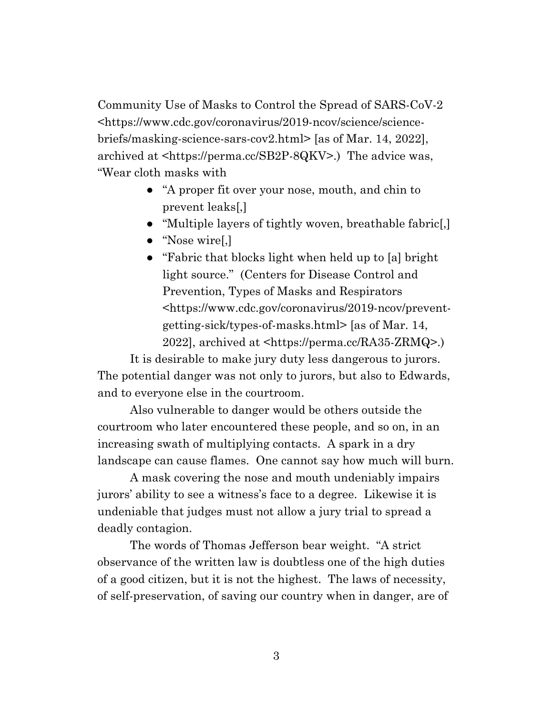Community Use of Masks to Control the Spread of SARS-CoV-2 <https://www.cdc.gov/coronavirus/2019-ncov/science/sciencebriefs/masking-science-sars-cov2.html> [as of Mar. 14, 2022], archived at <https://perma.cc/SB2P-8QKV>.) The advice was, "Wear cloth masks with

- "A proper fit over your nose, mouth, and chin to prevent leaks[,]
- "Multiple layers of tightly woven, breathable fabric[,]
- "Nose wire[,]
- "Fabric that blocks light when held up to [a] bright light source." (Centers for Disease Control and Prevention, Types of Masks and Respirators <https://www.cdc.gov/coronavirus/2019-ncov/preventgetting-sick/types-of-masks.html> [as of Mar. 14, 2022], archived at <https://perma.cc/RA35-ZRMQ>.)

It is desirable to make jury duty less dangerous to jurors. The potential danger was not only to jurors, but also to Edwards, and to everyone else in the courtroom.

Also vulnerable to danger would be others outside the courtroom who later encountered these people, and so on, in an increasing swath of multiplying contacts. A spark in a dry landscape can cause flames. One cannot say how much will burn.

A mask covering the nose and mouth undeniably impairs jurors' ability to see a witness's face to a degree. Likewise it is undeniable that judges must not allow a jury trial to spread a deadly contagion.

The words of Thomas Jefferson bear weight. "A strict observance of the written law is doubtless one of the high duties of a good citizen, but it is not the highest. The laws of necessity, of self-preservation, of saving our country when in danger, are of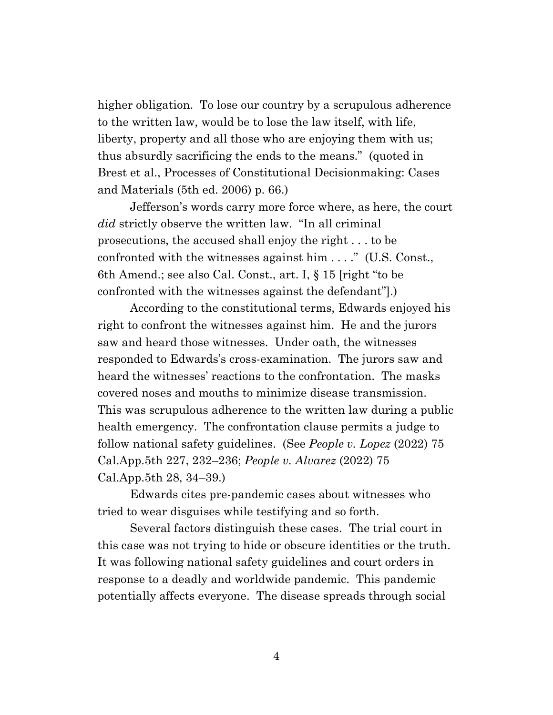higher obligation. To lose our country by a scrupulous adherence to the written law, would be to lose the law itself, with life, liberty, property and all those who are enjoying them with us; thus absurdly sacrificing the ends to the means." (quoted in Brest et al., Processes of Constitutional Decisionmaking: Cases and Materials (5th ed. 2006) p. 66.)

Jefferson's words carry more force where, as here, the court *did* strictly observe the written law. "In all criminal prosecutions, the accused shall enjoy the right . . . to be confronted with the witnesses against him . . . ." (U.S. Const., 6th Amend.; see also Cal. Const., art. I, § 15 [right "to be confronted with the witnesses against the defendant"].)

According to the constitutional terms, Edwards enjoyed his right to confront the witnesses against him. He and the jurors saw and heard those witnesses. Under oath, the witnesses responded to Edwards's cross-examination. The jurors saw and heard the witnesses' reactions to the confrontation. The masks covered noses and mouths to minimize disease transmission. This was scrupulous adherence to the written law during a public health emergency. The confrontation clause permits a judge to follow national safety guidelines. (See *People v. Lopez* (2022) 75 Cal.App.5th 227, 232–236; *People v. Alvarez* (2022) 75 Cal.App.5th 28, 34–39.)

Edwards cites pre-pandemic cases about witnesses who tried to wear disguises while testifying and so forth.

Several factors distinguish these cases. The trial court in this case was not trying to hide or obscure identities or the truth. It was following national safety guidelines and court orders in response to a deadly and worldwide pandemic. This pandemic potentially affects everyone. The disease spreads through social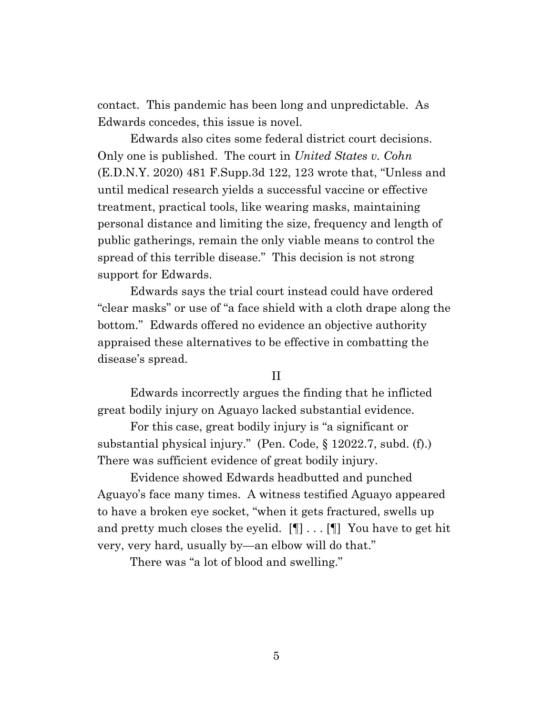contact. This pandemic has been long and unpredictable. As Edwards concedes, this issue is novel.

Edwards also cites some federal district court decisions. Only one is published. The court in *United States v. Cohn* (E.D.N.Y. 2020) 481 F.Supp.3d 122, 123 wrote that, "Unless and until medical research yields a successful vaccine or effective treatment, practical tools, like wearing masks, maintaining personal distance and limiting the size, frequency and length of public gatherings, remain the only viable means to control the spread of this terrible disease." This decision is not strong support for Edwards.

Edwards says the trial court instead could have ordered "clear masks" or use of "a face shield with a cloth drape along the bottom." Edwards offered no evidence an objective authority appraised these alternatives to be effective in combatting the disease's spread.

II

Edwards incorrectly argues the finding that he inflicted great bodily injury on Aguayo lacked substantial evidence.

For this case, great bodily injury is "a significant or substantial physical injury." (Pen. Code, § 12022.7, subd. (f).) There was sufficient evidence of great bodily injury.

Evidence showed Edwards headbutted and punched Aguayo's face many times. A witness testified Aguayo appeared to have a broken eye socket, "when it gets fractured, swells up and pretty much closes the eyelid.  $[\P] \dots [\P]$  You have to get hit very, very hard, usually by—an elbow will do that."

There was "a lot of blood and swelling."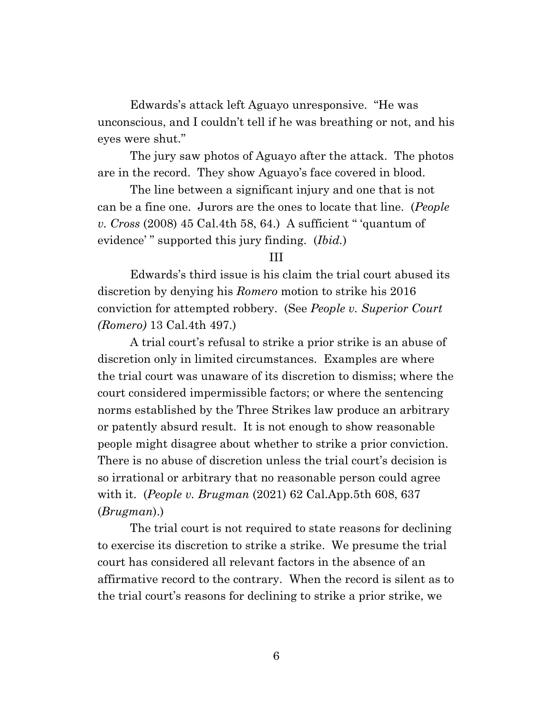Edwards's attack left Aguayo unresponsive. "He was unconscious, and I couldn't tell if he was breathing or not, and his eyes were shut."

The jury saw photos of Aguayo after the attack. The photos are in the record. They show Aguayo's face covered in blood.

The line between a significant injury and one that is not can be a fine one. Jurors are the ones to locate that line. (*People v. Cross* (2008) 45 Cal.4th 58, 64.) A sufficient " 'quantum of evidence' " supported this jury finding. (*Ibid.*)

#### III

Edwards's third issue is his claim the trial court abused its discretion by denying his *Romero* motion to strike his 2016 conviction for attempted robbery. (See *People v. Superior Court (Romero)* 13 Cal.4th 497.)

A trial court's refusal to strike a prior strike is an abuse of discretion only in limited circumstances. Examples are where the trial court was unaware of its discretion to dismiss; where the court considered impermissible factors; or where the sentencing norms established by the Three Strikes law produce an arbitrary or patently absurd result. It is not enough to show reasonable people might disagree about whether to strike a prior conviction. There is no abuse of discretion unless the trial court's decision is so irrational or arbitrary that no reasonable person could agree with it. (*People v. Brugman* (2021) 62 Cal.App.5th 608, 637 (*Brugman*).)

The trial court is not required to state reasons for declining to exercise its discretion to strike a strike. We presume the trial court has considered all relevant factors in the absence of an affirmative record to the contrary. When the record is silent as to the trial court's reasons for declining to strike a prior strike, we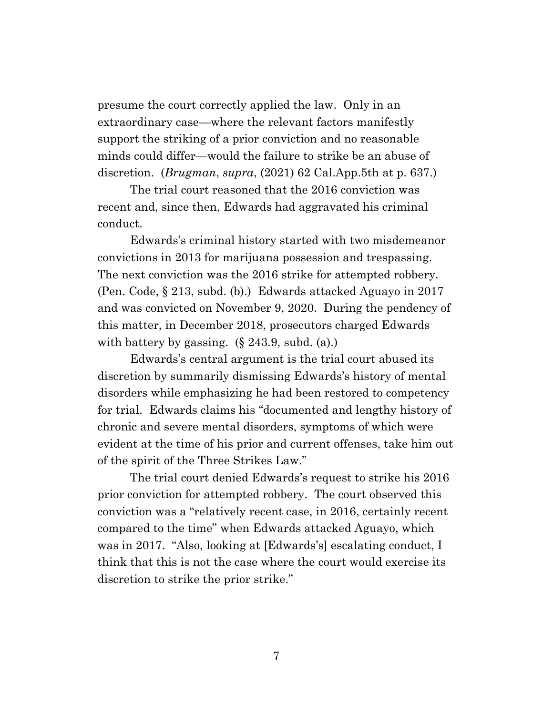presume the court correctly applied the law. Only in an extraordinary case—where the relevant factors manifestly support the striking of a prior conviction and no reasonable minds could differ—would the failure to strike be an abuse of discretion. (*Brugman*, *supra*, (2021) 62 Cal.App.5th at p. 637.)

The trial court reasoned that the 2016 conviction was recent and, since then, Edwards had aggravated his criminal conduct.

Edwards's criminal history started with two misdemeanor convictions in 2013 for marijuana possession and trespassing. The next conviction was the 2016 strike for attempted robbery. (Pen. Code, § 213, subd. (b).) Edwards attacked Aguayo in 2017 and was convicted on November 9, 2020. During the pendency of this matter, in December 2018, prosecutors charged Edwards with battery by gassing.  $(\S 243.9, \text{subd. (a)})$ 

Edwards's central argument is the trial court abused its discretion by summarily dismissing Edwards's history of mental disorders while emphasizing he had been restored to competency for trial. Edwards claims his "documented and lengthy history of chronic and severe mental disorders, symptoms of which were evident at the time of his prior and current offenses, take him out of the spirit of the Three Strikes Law."

The trial court denied Edwards's request to strike his 2016 prior conviction for attempted robbery. The court observed this conviction was a "relatively recent case, in 2016, certainly recent compared to the time" when Edwards attacked Aguayo, which was in 2017. "Also, looking at [Edwards's] escalating conduct, I think that this is not the case where the court would exercise its discretion to strike the prior strike."